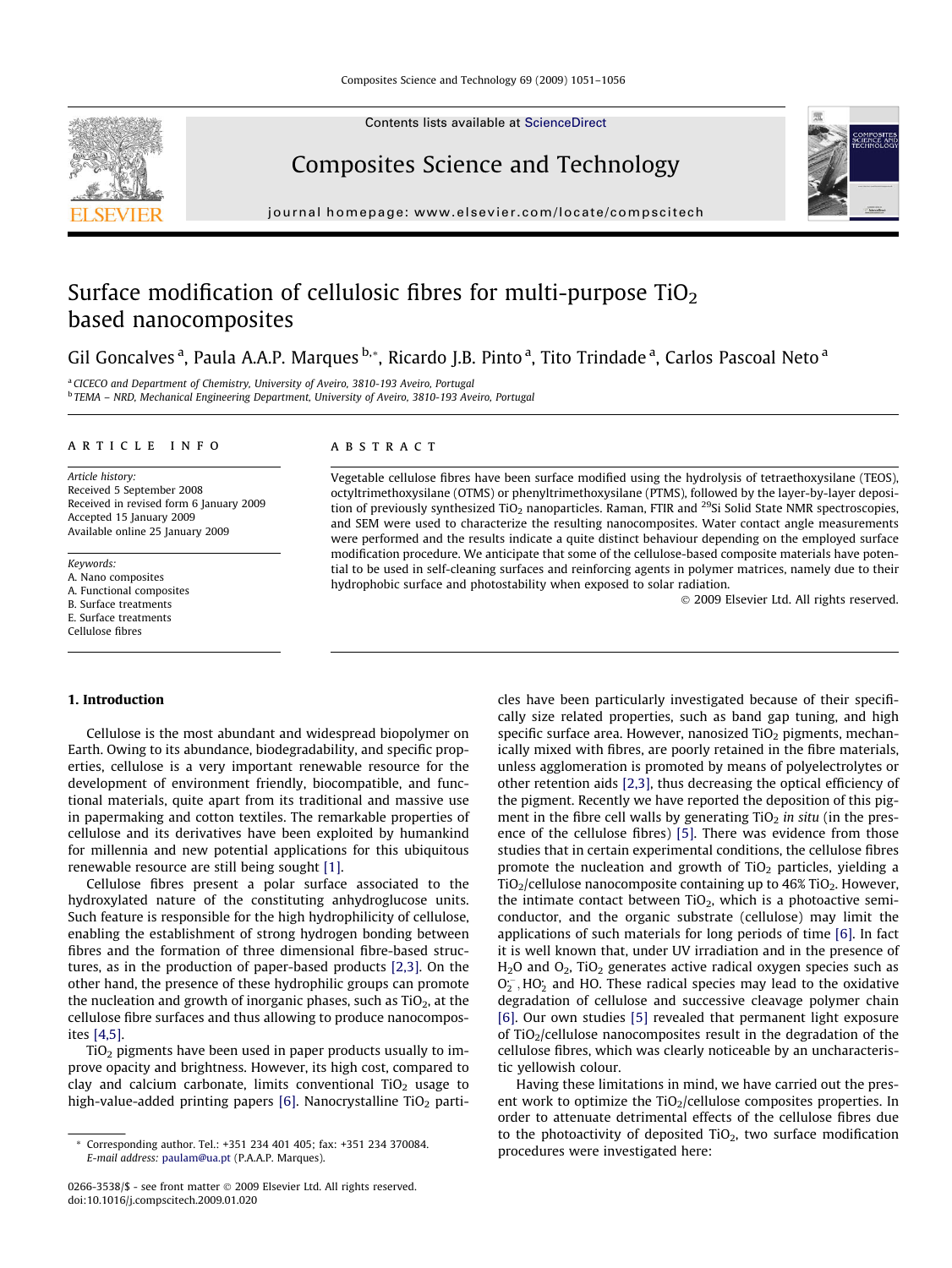Contents lists available at [ScienceDirect](http://www.sciencedirect.com/science/journal/02663538)



Composites Science and Technology



# Surface modification of cellulosic fibres for multi-purpose  $TiO<sub>2</sub>$ based nanocomposites

Gil Goncalves <sup>a</sup>, Paula A.A.P. Marques <sup>b,</sup>\*, Ricardo J.B. Pinto <sup>a</sup>, Tito Trindade <sup>a</sup>, Carlos Pascoal Neto <sup>a</sup>

<sup>a</sup> CICECO and Department of Chemistry, University of Aveiro, 3810-193 Aveiro, Portugal <sup>b</sup> TEMA – NRD, Mechanical Engineering Department, University of Aveiro, 3810-193 Aveiro, Portugal

## article info

Article history: Received 5 September 2008 Received in revised form 6 January 2009 Accepted 15 January 2009 Available online 25 January 2009

Keywords: A. Nano composites A. Functional composites B. Surface treatments E. Surface treatments Cellulose fibres

### **ABSTRACT**

Vegetable cellulose fibres have been surface modified using the hydrolysis of tetraethoxysilane (TEOS), octyltrimethoxysilane (OTMS) or phenyltrimethoxysilane (PTMS), followed by the layer-by-layer deposition of previously synthesized  $TiO<sub>2</sub>$  nanoparticles. Raman, FTIR and <sup>29</sup>Si Solid State NMR spectroscopies, and SEM were used to characterize the resulting nanocomposites. Water contact angle measurements were performed and the results indicate a quite distinct behaviour depending on the employed surface modification procedure. We anticipate that some of the cellulose-based composite materials have potential to be used in self-cleaning surfaces and reinforcing agents in polymer matrices, namely due to their hydrophobic surface and photostability when exposed to solar radiation.

- 2009 Elsevier Ltd. All rights reserved.

#### 1. Introduction

Cellulose is the most abundant and widespread biopolymer on Earth. Owing to its abundance, biodegradability, and specific properties, cellulose is a very important renewable resource for the development of environment friendly, biocompatible, and functional materials, quite apart from its traditional and massive use in papermaking and cotton textiles. The remarkable properties of cellulose and its derivatives have been exploited by humankind for millennia and new potential applications for this ubiquitous renewable resource are still being sought [\[1\]](#page-4-0).

Cellulose fibres present a polar surface associated to the hydroxylated nature of the constituting anhydroglucose units. Such feature is responsible for the high hydrophilicity of cellulose, enabling the establishment of strong hydrogen bonding between fibres and the formation of three dimensional fibre-based structures, as in the production of paper-based products [\[2,3\]](#page-4-0). On the other hand, the presence of these hydrophilic groups can promote the nucleation and growth of inorganic phases, such as  $TiO<sub>2</sub>$ , at the cellulose fibre surfaces and thus allowing to produce nanocomposites [\[4,5\].](#page-4-0)

TiO2 pigments have been used in paper products usually to improve opacity and brightness. However, its high cost, compared to clay and calcium carbonate, limits conventional  $TiO<sub>2</sub>$  usage to high-value-added printing papers  $[6]$ . Nanocrystalline TiO<sub>2</sub> particles have been particularly investigated because of their specifically size related properties, such as band gap tuning, and high specific surface area. However, nanosized  $TiO<sub>2</sub>$  pigments, mechanically mixed with fibres, are poorly retained in the fibre materials, unless agglomeration is promoted by means of polyelectrolytes or other retention aids [\[2,3\],](#page-4-0) thus decreasing the optical efficiency of the pigment. Recently we have reported the deposition of this pigment in the fibre cell walls by generating  $TiO<sub>2</sub>$  in situ (in the presence of the cellulose fibres) [\[5\]](#page-4-0). There was evidence from those studies that in certain experimental conditions, the cellulose fibres promote the nucleation and growth of  $TiO<sub>2</sub>$  particles, yielding a  $TiO<sub>2</sub>/cellulose nanocomposite containing up to 46% TiO<sub>2</sub>. However,$ the intimate contact between  $TiO<sub>2</sub>$ , which is a photoactive semiconductor, and the organic substrate (cellulose) may limit the applications of such materials for long periods of time [\[6\]](#page-4-0). In fact it is well known that, under UV irradiation and in the presence of  $H<sub>2</sub>O$  and  $O<sub>2</sub>$ , TiO<sub>2</sub> generates active radical oxygen species such as  $O_2^-$ , HO<sub>2</sub> and HO. These radical species may lead to the oxidative degradation of cellulose and successive cleavage polymer chain [\[6\]](#page-4-0). Our own studies [\[5\]](#page-4-0) revealed that permanent light exposure of TiO<sub>2</sub>/cellulose nanocomposites result in the degradation of the cellulose fibres, which was clearly noticeable by an uncharacteristic yellowish colour.

Having these limitations in mind, we have carried out the present work to optimize the  $TiO<sub>2</sub>/cellulose composites properties. In$ order to attenuate detrimental effects of the cellulose fibres due to the photoactivity of deposited  $TiO<sub>2</sub>$ , two surface modification procedures were investigated here:



Corresponding author. Tel.: +351 234 401 405; fax: +351 234 370084. E-mail address: [paulam@ua.pt](mailto:paulam@ua.pt) (P.A.A.P. Marques).

<sup>0266-3538/\$ -</sup> see front matter © 2009 Elsevier Ltd. All rights reserved. doi:10.1016/j.compscitech.2009.01.020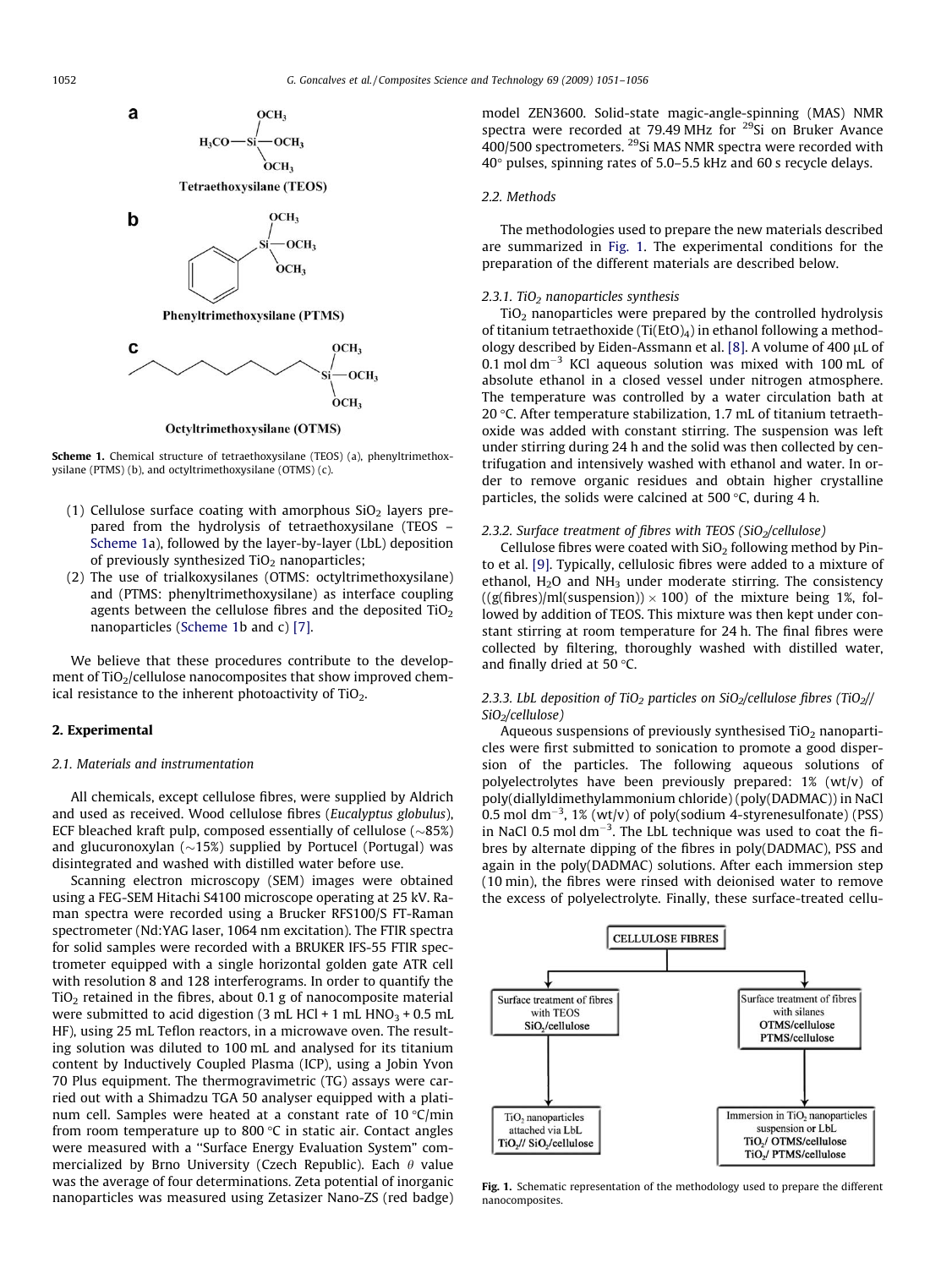

Octyltrimethoxysilane (OTMS)

Scheme 1. Chemical structure of tetraethoxysilane (TEOS) (a), phenyltrimethoxysilane (PTMS) (b), and octyltrimethoxysilane (OTMS) (c).

- (1) Cellulose surface coating with amorphous  $SiO<sub>2</sub>$  layers prepared from the hydrolysis of tetraethoxysilane (TEOS – Scheme 1a), followed by the layer-by-layer (LbL) deposition of previously synthesized  $TiO<sub>2</sub>$  nanoparticles;
- (2) The use of trialkoxysilanes (OTMS: octyltrimethoxysilane) and (PTMS: phenyltrimethoxysilane) as interface coupling agents between the cellulose fibres and the deposited  $TiO<sub>2</sub>$ nanoparticles (Scheme 1b and c) [\[7\]](#page-4-0).

We believe that these procedures contribute to the development of  $TiO<sub>2</sub>/cellulose$  nanocomposites that show improved chemical resistance to the inherent photoactivity of  $TiO<sub>2</sub>$ .

## 2. Experimental

#### 2.1. Materials and instrumentation

All chemicals, except cellulose fibres, were supplied by Aldrich and used as received. Wood cellulose fibres (Eucalyptus globulus), ECF bleached kraft pulp, composed essentially of cellulose  $(\sim 85\%)$ and glucuronoxylan  $(\sim 15\%)$  supplied by Portucel (Portugal) was disintegrated and washed with distilled water before use.

Scanning electron microscopy (SEM) images were obtained using a FEG-SEM Hitachi S4100 microscope operating at 25 kV. Raman spectra were recorded using a Brucker RFS100/S FT-Raman spectrometer (Nd:YAG laser, 1064 nm excitation). The FTIR spectra for solid samples were recorded with a BRUKER IFS-55 FTIR spectrometer equipped with a single horizontal golden gate ATR cell with resolution 8 and 128 interferograms. In order to quantify the  $TiO<sub>2</sub>$  retained in the fibres, about 0.1 g of nanocomposite material were submitted to acid digestion (3 mL HCl + 1 mL  $HNO<sub>3</sub> + 0.5$  mL HF), using 25 mL Teflon reactors, in a microwave oven. The resulting solution was diluted to 100 mL and analysed for its titanium content by Inductively Coupled Plasma (ICP), using a Jobin Yvon 70 Plus equipment. The thermogravimetric (TG) assays were carried out with a Shimadzu TGA 50 analyser equipped with a platinum cell. Samples were heated at a constant rate of  $10 °C/min$ from room temperature up to 800 $\degree$ C in static air. Contact angles were measured with a ''Surface Energy Evaluation System" commercialized by Brno University (Czech Republic). Each  $\theta$  value was the average of four determinations. Zeta potential of inorganic nanoparticles was measured using Zetasizer Nano-ZS (red badge) model ZEN3600. Solid-state magic-angle-spinning (MAS) NMR spectra were recorded at 79.49 MHz for  $29$ Si on Bruker Avance  $400/500$  spectrometers. <sup>29</sup>Si MAS NMR spectra were recorded with  $40^\circ$  pulses, spinning rates of 5.0–5.5 kHz and 60 s recycle delays.

# 2.2. Methods

The methodologies used to prepare the new materials described are summarized in Fig. 1. The experimental conditions for the preparation of the different materials are described below.

## $2.3.1.$  TiO<sub>2</sub> nanoparticles synthesis

 $TiO<sub>2</sub>$  nanoparticles were prepared by the controlled hydrolysis of titanium tetraethoxide (Ti(EtO)<sub>4</sub>) in ethanol following a method-ology described by Eiden-Assmann et al. [\[8\]](#page-4-0). A volume of 400  $\mu$ L of 0.1 mol dm $^{-3}$  KCl aqueous solution was mixed with 100 mL of absolute ethanol in a closed vessel under nitrogen atmosphere. The temperature was controlled by a water circulation bath at 20  $\degree$ C. After temperature stabilization, 1.7 mL of titanium tetraethoxide was added with constant stirring. The suspension was left under stirring during 24 h and the solid was then collected by centrifugation and intensively washed with ethanol and water. In order to remove organic residues and obtain higher crystalline particles, the solids were calcined at 500  $\degree$ C, during 4 h.

## 2.3.2. Surface treatment of fibres with TEOS (SiO<sub>2</sub>/cellulose)

Cellulose fibres were coated with  $SiO<sub>2</sub>$  following method by Pinto et al. [\[9\].](#page-5-0) Typically, cellulosic fibres were added to a mixture of ethanol,  $H_2O$  and  $NH_3$  under moderate stirring. The consistency  $((g(fibres)/ml(suspension)) \times 100)$  of the mixture being 1%, followed by addition of TEOS. This mixture was then kept under constant stirring at room temperature for 24 h. The final fibres were collected by filtering, thoroughly washed with distilled water, and finally dried at 50 $\degree$ C.

# 2.3.3. LbL deposition of TiO<sub>2</sub> particles on SiO<sub>2</sub>/cellulose fibres (TiO<sub>2</sub>// SiO<sub>2</sub>/cellulose)

Aqueous suspensions of previously synthesised  $TiO<sub>2</sub>$  nanoparticles were first submitted to sonication to promote a good dispersion of the particles. The following aqueous solutions of polyelectrolytes have been previously prepared: 1% (wt/v) of poly(diallyldimethylammonium chloride) (poly(DADMAC)) in NaCl 0.5 mol dm<sup>-3</sup>, 1% (wt/v) of poly(sodium 4-styrenesulfonate) (PSS) in NaCl 0.5 mol  $dm^{-3}$ . The LbL technique was used to coat the fibres by alternate dipping of the fibres in poly(DADMAC), PSS and again in the poly(DADMAC) solutions. After each immersion step (10 min), the fibres were rinsed with deionised water to remove the excess of polyelectrolyte. Finally, these surface-treated cellu-



Fig. 1. Schematic representation of the methodology used to prepare the different nanocomposites.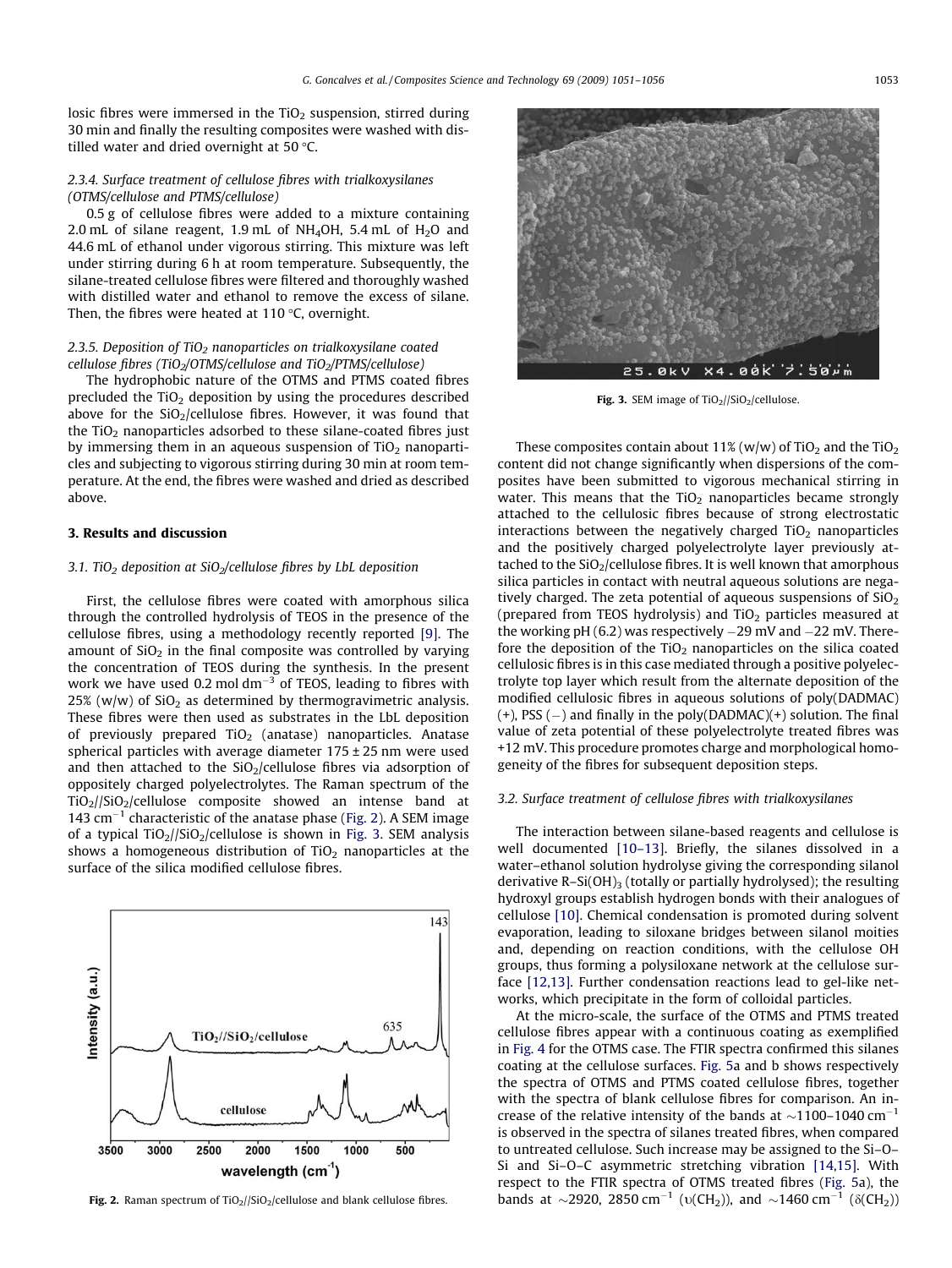losic fibres were immersed in the  $TiO<sub>2</sub>$  suspension, stirred during 30 min and finally the resulting composites were washed with distilled water and dried overnight at 50 $\degree$ C.

# 2.3.4. Surface treatment of cellulose fibres with trialkoxysilanes (OTMS/cellulose and PTMS/cellulose)

0.5 g of cellulose fibres were added to a mixture containing 2.0 mL of silane reagent, 1.9 mL of NH<sub>4</sub>OH, 5.4 mL of H<sub>2</sub>O and 44.6 mL of ethanol under vigorous stirring. This mixture was left under stirring during 6 h at room temperature. Subsequently, the silane-treated cellulose fibres were filtered and thoroughly washed with distilled water and ethanol to remove the excess of silane. Then, the fibres were heated at  $110^{\circ}$ C, overnight.

# 2.3.5. Deposition of TiO<sub>2</sub> nanoparticles on trialkoxysilane coated cellulose fibres (TiO<sub>2</sub>/OTMS/cellulose and TiO<sub>2</sub>/PTMS/cellulose)

The hydrophobic nature of the OTMS and PTMS coated fibres precluded the  $TiO<sub>2</sub>$  deposition by using the procedures described above for the  $SiO<sub>2</sub>/cellulose fibres. However, it was found that$ the  $TiO<sub>2</sub>$  nanoparticles adsorbed to these silane-coated fibres just by immersing them in an aqueous suspension of  $TiO<sub>2</sub>$  nanoparticles and subjecting to vigorous stirring during 30 min at room temperature. At the end, the fibres were washed and dried as described above.

## 3. Results and discussion

# 3.1. TiO<sub>2</sub> deposition at SiO<sub>2</sub>/cellulose fibres by LbL deposition

First, the cellulose fibres were coated with amorphous silica through the controlled hydrolysis of TEOS in the presence of the cellulose fibres, using a methodology recently reported [\[9\]](#page-5-0). The amount of  $SiO<sub>2</sub>$  in the final composite was controlled by varying the concentration of TEOS during the synthesis. In the present work we have used 0.2 mol dm<sup>-3</sup> of TEOS, leading to fibres with 25% (w/w) of  $SiO<sub>2</sub>$  as determined by thermogravimetric analysis. These fibres were then used as substrates in the LbL deposition of previously prepared  $TiO<sub>2</sub>$  (anatase) nanoparticles. Anatase spherical particles with average diameter  $175 \pm 25$  nm were used and then attached to the  $SiO<sub>2</sub>/cellulose$  fibres via adsorption of oppositely charged polyelectrolytes. The Raman spectrum of the TiO2//SiO2/cellulose composite showed an intense band at 143  $cm^{-1}$  characteristic of the anatase phase (Fig. 2). A SEM image of a typical  $TiO<sub>2</sub>/SiO<sub>2</sub>/cellulose$  is shown in Fig. 3. SEM analysis shows a homogeneous distribution of  $TiO<sub>2</sub>$  nanoparticles at the surface of the silica modified cellulose fibres.





Fig. 3. SEM image of  $TiO<sub>2</sub>//SiO<sub>2</sub>/cellulose.$ 

These composites contain about 11% (w/w) of  $TiO<sub>2</sub>$  and the  $TiO<sub>2</sub>$ content did not change significantly when dispersions of the composites have been submitted to vigorous mechanical stirring in water. This means that the  $TiO<sub>2</sub>$  nanoparticles became strongly attached to the cellulosic fibres because of strong electrostatic interactions between the negatively charged  $TiO<sub>2</sub>$  nanoparticles and the positively charged polyelectrolyte layer previously attached to the  $SiO<sub>2</sub>/cellulose fibres.$  It is well known that amorphous silica particles in contact with neutral aqueous solutions are negatively charged. The zeta potential of aqueous suspensions of  $SiO<sub>2</sub>$ (prepared from TEOS hydrolysis) and  $TiO<sub>2</sub>$  particles measured at the working pH  $(6.2)$  was respectively  $-29$  mV and  $-22$  mV. Therefore the deposition of the  $TiO<sub>2</sub>$  nanoparticles on the silica coated cellulosic fibres is in this case mediated through a positive polyelectrolyte top layer which result from the alternate deposition of the modified cellulosic fibres in aqueous solutions of poly(DADMAC) (+), PSS (-) and finally in the poly(DADMAC)(+) solution. The final value of zeta potential of these polyelectrolyte treated fibres was +12 mV. This procedure promotes charge and morphological homogeneity of the fibres for subsequent deposition steps.

## 3.2. Surface treatment of cellulose fibres with trialkoxysilanes

The interaction between silane-based reagents and cellulose is well documented [\[10–13\].](#page-5-0) Briefly, the silanes dissolved in a water–ethanol solution hydrolyse giving the corresponding silanol derivative  $R-Si(OH)_3$  (totally or partially hydrolysed); the resulting hydroxyl groups establish hydrogen bonds with their analogues of cellulose [\[10\].](#page-5-0) Chemical condensation is promoted during solvent evaporation, leading to siloxane bridges between silanol moities and, depending on reaction conditions, with the cellulose OH groups, thus forming a polysiloxane network at the cellulose surface [\[12,13\].](#page-5-0) Further condensation reactions lead to gel-like networks, which precipitate in the form of colloidal particles.

At the micro-scale, the surface of the OTMS and PTMS treated cellulose fibres appear with a continuous coating as exemplified in [Fig. 4](#page-3-0) for the OTMS case. The FTIR spectra confirmed this silanes coating at the cellulose surfaces. [Fig. 5](#page-3-0)a and b shows respectively the spectra of OTMS and PTMS coated cellulose fibres, together with the spectra of blank cellulose fibres for comparison. An increase of the relative intensity of the bands at  $\sim$ 1100–1040 cm<sup>-1</sup> is observed in the spectra of silanes treated fibres, when compared to untreated cellulose. Such increase may be assigned to the Si–O– Si and Si–O–C asymmetric stretching vibration [\[14,15\]](#page-5-0). With respect to the FTIR spectra of OTMS treated fibres [\(Fig. 5a](#page-3-0)), the **Fig. 2.** Raman spectrum of TiO<sub>2</sub>//SiO<sub>2</sub>/cellulose and blank cellulose fibres.  $\qquad\qquad$  bands  $\,$  at  $\sim$ 2920, 2850 cm $^{-1}$  ( $\rm \upsilon(CH_2)$ ), and  $\sim$ 1460 cm $^{-1}$  ( $\rm \delta(CH_2)$ )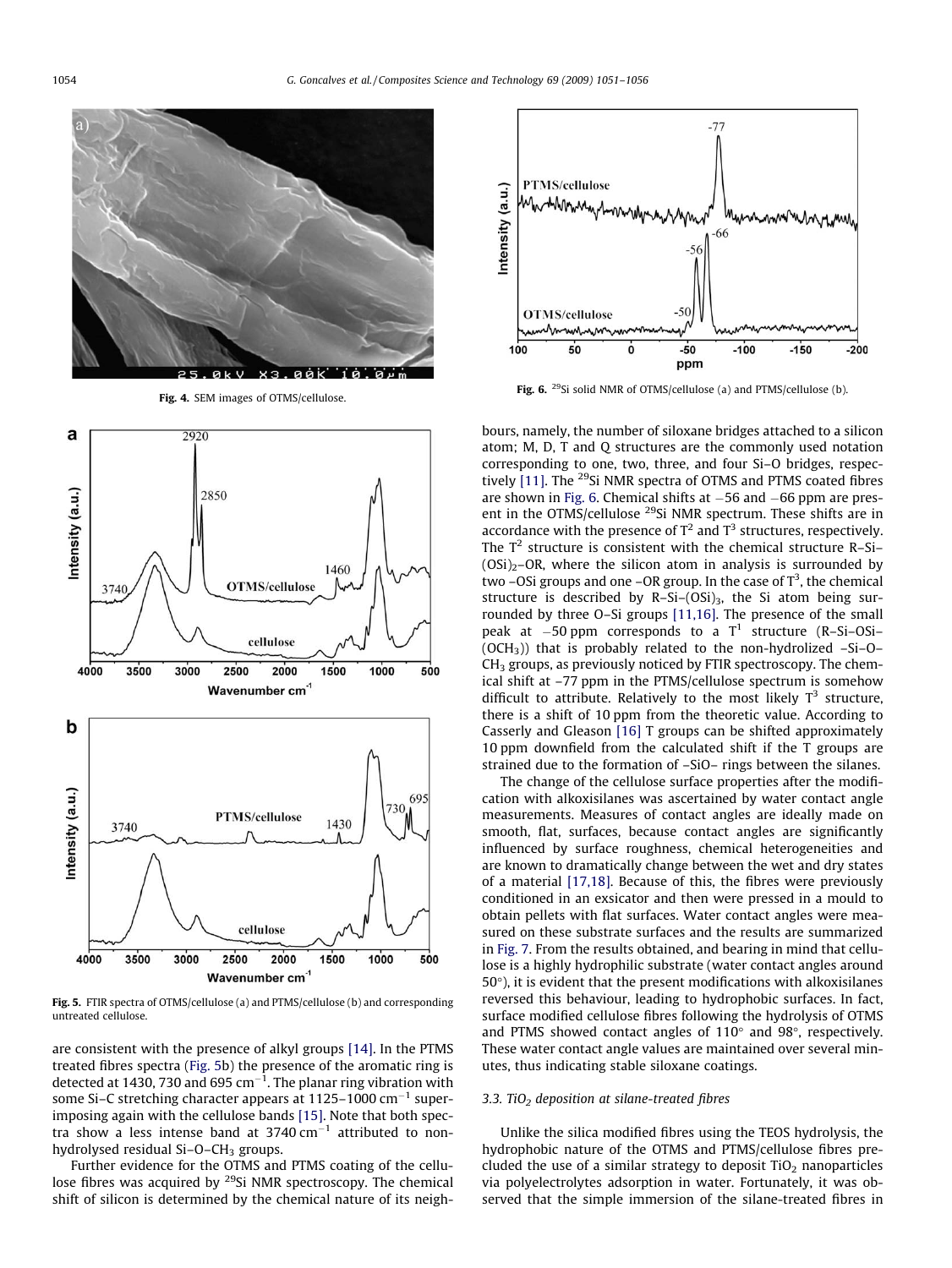<span id="page-3-0"></span>![](_page_3_Figure_2.jpeg)

Fig. 4. SEM images of OTMS/cellulose.

![](_page_3_Figure_4.jpeg)

Fig. 5. FTIR spectra of OTMS/cellulose (a) and PTMS/cellulose (b) and corresponding untreated cellulose.

are consistent with the presence of alkyl groups [\[14\]](#page-5-0). In the PTMS treated fibres spectra (Fig. 5b) the presence of the aromatic ring is detected at 1430, 730 and 695 cm $^{-1}$ . The planar ring vibration with some Si–C stretching character appears at 1125–1000 cm $^{-1}$  superimposing again with the cellulose bands [\[15\]](#page-5-0). Note that both spectra show a less intense band at 3740  $\text{cm}^{-1}$  attributed to nonhydrolysed residual  $Si-O-CH<sub>3</sub>$  groups.

Further evidence for the OTMS and PTMS coating of the cellulose fibres was acquired by <sup>29</sup>Si NMR spectroscopy. The chemical shift of silicon is determined by the chemical nature of its neigh-

![](_page_3_Figure_8.jpeg)

Fig. 6. <sup>29</sup>Si solid NMR of OTMS/cellulose (a) and PTMS/cellulose (b).

bours, namely, the number of siloxane bridges attached to a silicon atom; M, D, T and Q structures are the commonly used notation corresponding to one, two, three, and four Si–O bridges, respec-tively [\[11\].](#page-5-0) The <sup>29</sup>Si NMR spectra of OTMS and PTMS coated fibres are shown in Fig. 6. Chemical shifts at  $-56$  and  $-66$  ppm are present in the OTMS/cellulose <sup>29</sup>Si NMR spectrum. These shifts are in accordance with the presence of  $T^2$  and  $T^3$  structures, respectively. The  $T^2$  structure is consistent with the chemical structure R-Si- $(OSi)_2$ –OR, where the silicon atom in analysis is surrounded by two -OSi groups and one -OR group. In the case of  $T^3$ , the chemical structure is described by R-Si- $(OSi)_3$ , the Si atom being surrounded by three O–Si groups [\[11,16\]](#page-5-0). The presence of the small peak at  $-50$  ppm corresponds to a  $T^1$  structure (R-Si-OSi- $(OCH<sub>3</sub>)$ ) that is probably related to the non-hydrolized -Si-O- $CH<sub>3</sub>$  groups, as previously noticed by FTIR spectroscopy. The chemical shift at –77 ppm in the PTMS/cellulose spectrum is somehow difficult to attribute. Relatively to the most likely  $T^3$  structure, there is a shift of 10 ppm from the theoretic value. According to Casserly and Gleason [\[16\]](#page-5-0) T groups can be shifted approximately 10 ppm downfield from the calculated shift if the T groups are strained due to the formation of –SiO– rings between the silanes.

The change of the cellulose surface properties after the modification with alkoxisilanes was ascertained by water contact angle measurements. Measures of contact angles are ideally made on smooth, flat, surfaces, because contact angles are significantly influenced by surface roughness, chemical heterogeneities and are known to dramatically change between the wet and dry states of a material [\[17,18\].](#page-5-0) Because of this, the fibres were previously conditioned in an exsicator and then were pressed in a mould to obtain pellets with flat surfaces. Water contact angles were measured on these substrate surfaces and the results are summarized in [Fig. 7](#page-4-0). From the results obtained, and bearing in mind that cellulose is a highly hydrophilic substrate (water contact angles around  $50^{\circ}$ ), it is evident that the present modifications with alkoxisilanes reversed this behaviour, leading to hydrophobic surfaces. In fact, surface modified cellulose fibres following the hydrolysis of OTMS and PTMS showed contact angles of  $110^{\circ}$  and  $98^{\circ}$ , respectively. These water contact angle values are maintained over several minutes, thus indicating stable siloxane coatings.

## 3.3. TiO<sub>2</sub> deposition at silane-treated fibres

Unlike the silica modified fibres using the TEOS hydrolysis, the hydrophobic nature of the OTMS and PTMS/cellulose fibres precluded the use of a similar strategy to deposit  $TiO<sub>2</sub>$  nanoparticles via polyelectrolytes adsorption in water. Fortunately, it was observed that the simple immersion of the silane-treated fibres in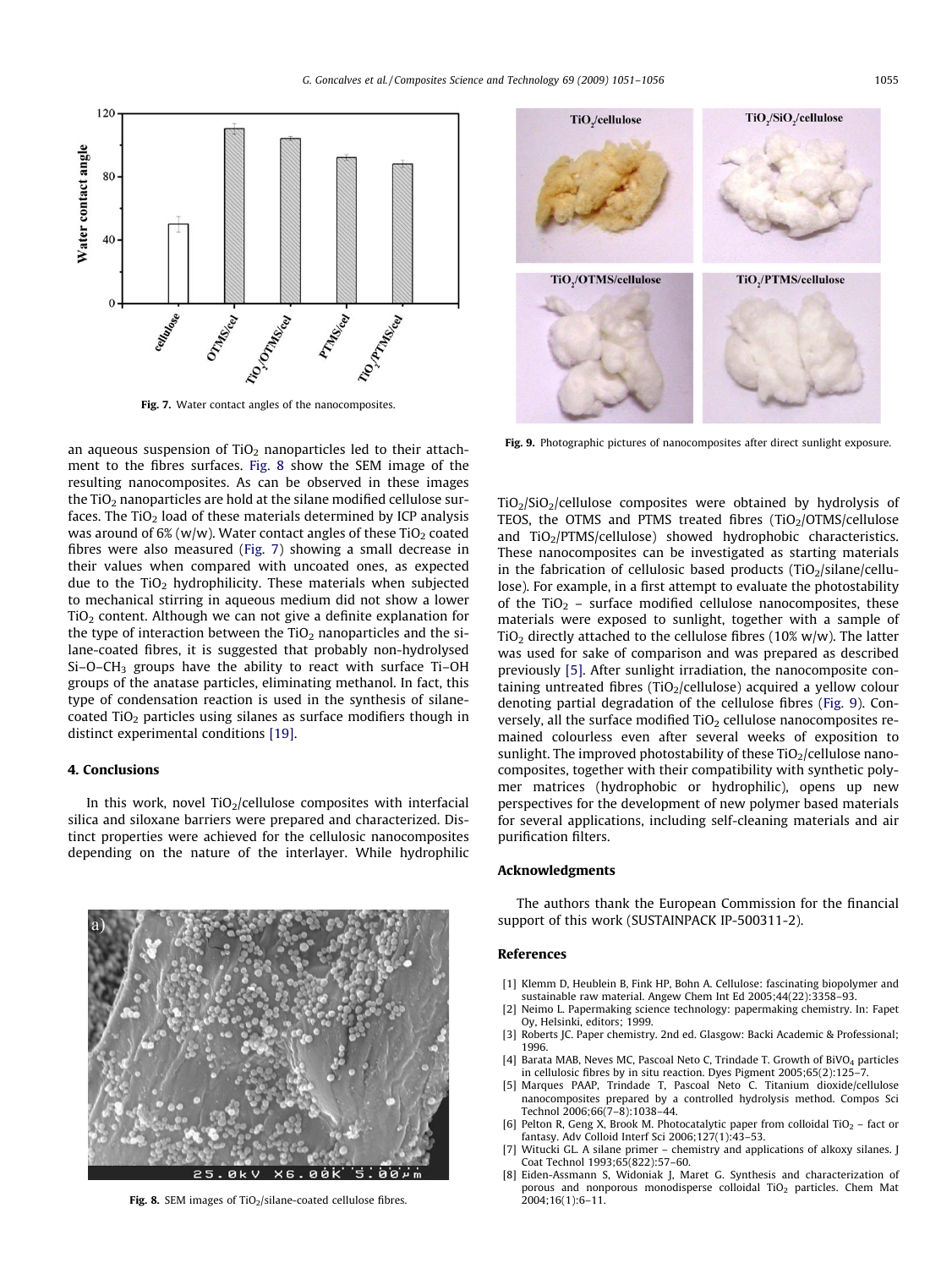<span id="page-4-0"></span>![](_page_4_Figure_1.jpeg)

Fig. 7. Water contact angles of the nanocomposites.

an aqueous suspension of  $TiO<sub>2</sub>$  nanoparticles led to their attachment to the fibres surfaces. Fig. 8 show the SEM image of the resulting nanocomposites. As can be observed in these images the  $TiO<sub>2</sub>$  nanoparticles are hold at the silane modified cellulose surfaces. The  $TiO<sub>2</sub>$  load of these materials determined by ICP analysis was around of 6% (w/w). Water contact angles of these  $TiO<sub>2</sub>$  coated fibres were also measured (Fig. 7) showing a small decrease in their values when compared with uncoated ones, as expected due to the  $TiO<sub>2</sub>$  hydrophilicity. These materials when subjected to mechanical stirring in aqueous medium did not show a lower  $TiO<sub>2</sub>$  content. Although we can not give a definite explanation for the type of interaction between the  $TiO<sub>2</sub>$  nanoparticles and the silane-coated fibres, it is suggested that probably non-hydrolysed Si–O–CH3 groups have the ability to react with surface Ti–OH groups of the anatase particles, eliminating methanol. In fact, this type of condensation reaction is used in the synthesis of silanecoated  $TiO<sub>2</sub>$  particles using silanes as surface modifiers though in distinct experimental conditions [\[19\]](#page-5-0).

#### 4. Conclusions

In this work, novel  $TiO<sub>2</sub>/cellulose$  composites with interfacial silica and siloxane barriers were prepared and characterized. Distinct properties were achieved for the cellulosic nanocomposites depending on the nature of the interlayer. While hydrophilic

![](_page_4_Picture_6.jpeg)

Fig. 8. SEM images of  $TiO<sub>2</sub>/silane-coated cellulose fibres.$ 

![](_page_4_Figure_8.jpeg)

Fig. 9. Photographic pictures of nanocomposites after direct sunlight exposure.

 $TiO<sub>2</sub>/SiO<sub>2</sub>/cellulose composites were obtained by hydrolysis of$ TEOS, the OTMS and PTMS treated fibres  $(TiO<sub>2</sub>/OTMS/cellulose$ and  $TiO<sub>2</sub>/PTMS/cellulose)$  showed hydrophobic characteristics. These nanocomposites can be investigated as starting materials in the fabrication of cellulosic based products  $(TiO<sub>2</sub>/silane/cellu$ lose). For example, in a first attempt to evaluate the photostability of the TiO<sub>2</sub> – surface modified cellulose nanocomposites, these materials were exposed to sunlight, together with a sample of  $TiO<sub>2</sub>$  directly attached to the cellulose fibres (10% w/w). The latter was used for sake of comparison and was prepared as described previously [5]. After sunlight irradiation, the nanocomposite containing untreated fibres (TiO<sub>2</sub>/cellulose) acquired a yellow colour denoting partial degradation of the cellulose fibres (Fig. 9). Conversely, all the surface modified  $TiO<sub>2</sub>$  cellulose nanocomposites remained colourless even after several weeks of exposition to sunlight. The improved photostability of these  $TiO<sub>2</sub>/cellulose$  nanocomposites, together with their compatibility with synthetic polymer matrices (hydrophobic or hydrophilic), opens up new perspectives for the development of new polymer based materials for several applications, including self-cleaning materials and air purification filters.

## Acknowledgments

The authors thank the European Commission for the financial support of this work (SUSTAINPACK IP-500311-2).

## References

- [1] Klemm D, Heublein B, Fink HP, Bohn A. Cellulose: fascinating biopolymer and sustainable raw material. Angew Chem Int Ed 2005;44(22):3358–93.
- Neimo L. Papermaking science technology: papermaking chemistry. In: Fapet Oy, Helsinki, editors; 1999.
- [3] Roberts JC. Paper chemistry. 2nd ed. Glasgow: Backi Academic & Professional; 1996.
- [4] Barata MAB, Neves MC, Pascoal Neto C, Trindade T. Growth of BiVO<sub>4</sub> particles in cellulosic fibres by in situ reaction. Dyes Pigment 2005;65(2):125
- [5] Marques PAAP, Trindade T, Pascoal Neto C. Titanium dioxide/cellulose nanocomposites prepared by a controlled hydrolysis method. Compos Sci Technol 2006;66(7–8):1038–44.
- [6] Pelton R, Geng X, Brook M. Photocatalytic paper from colloidal TiO<sub>2</sub> fact or fantasy. Adv Colloid Interf Sci 2006;127(1):43–53.
- Witucki GL. A silane primer chemistry and applications of alkoxy silanes. J Coat Technol 1993;65(822):57–60.
- [8] Eiden-Assmann S, Widoniak J, Maret G. Synthesis and characterization of porous and nonporous monodisperse colloidal TiO<sub>2</sub> particles. Chem Mat 2004;16(1):6–11.